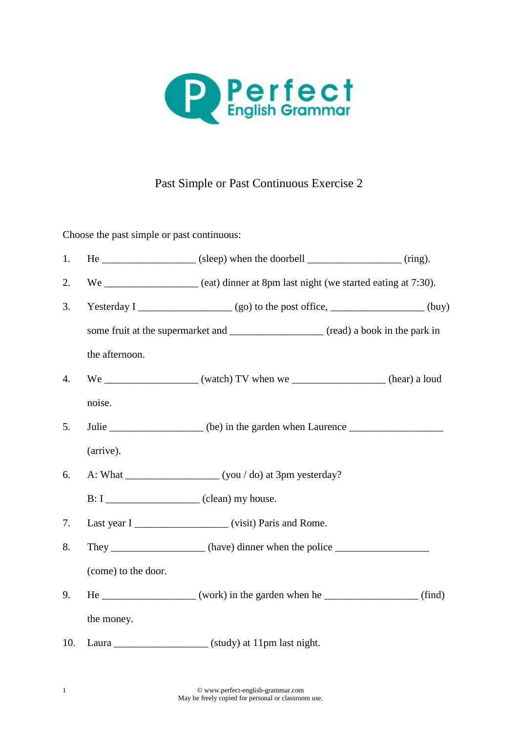

## Past Simple or Past Continuous Exercise 2

Choose the past simple or past continuous:

| 1.  |                                                                                       | $He$ _____________________ (sleep) when the doorbell __________________ (ring).         |  |
|-----|---------------------------------------------------------------------------------------|-----------------------------------------------------------------------------------------|--|
| 2.  |                                                                                       | We _____________________ (eat) dinner at 8pm last night (we started eating at 7:30).    |  |
| 3.  |                                                                                       |                                                                                         |  |
|     | some fruit at the supermarket and ______________________ (read) a book in the park in |                                                                                         |  |
|     | the afternoon.                                                                        |                                                                                         |  |
| 4.  |                                                                                       |                                                                                         |  |
|     | noise.                                                                                |                                                                                         |  |
| 5.  |                                                                                       | Julie __________________ (be) in the garden when Laurence ______________________        |  |
|     | (arrive).                                                                             |                                                                                         |  |
| 6.  |                                                                                       |                                                                                         |  |
|     |                                                                                       |                                                                                         |  |
| 7.  |                                                                                       | Last year I ________________________ (visit) Paris and Rome.                            |  |
| 8.  |                                                                                       | They _____________________(have) dinner when the police ________________________        |  |
|     | (come) to the door.                                                                   |                                                                                         |  |
| 9.  |                                                                                       | $He$ _______________________ (work) in the garden when he ______________________ (find) |  |
|     | the money.                                                                            |                                                                                         |  |
| 10. |                                                                                       |                                                                                         |  |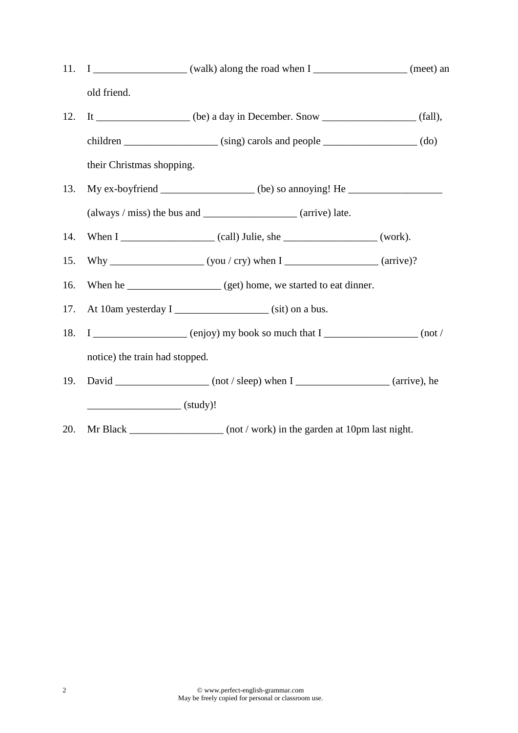11.  $I$  \_\_\_\_\_\_\_\_\_\_\_\_\_\_\_\_\_\_\_\_ (walk) along the road when  $I$  \_\_\_\_\_\_\_\_\_\_\_\_\_\_\_\_\_\_\_\_ (meet) an old friend. 12. It  $\frac{1}{\text{[a]}}$   $\frac{1}{\text{[b]}}$  (be) a day in December. Snow  $\frac{1}{\text{[b]}}$  (fall), children \_\_\_\_\_\_\_\_\_\_\_\_\_\_\_\_\_\_ (sing) carols and people \_\_\_\_\_\_\_\_\_\_\_\_\_\_\_\_\_\_ (do) their Christmas shopping. 13. My ex-boyfriend \_\_\_\_\_\_\_\_\_\_\_\_\_\_\_\_\_ (be) so annoying! He \_\_\_\_\_\_\_\_\_\_\_\_\_\_\_\_\_\_\_\_\_  $(always / miss)$  the bus and  $(arrive)$  late. 14. When I \_\_\_\_\_\_\_\_\_\_\_\_\_\_\_\_\_\_ (call) Julie, she \_\_\_\_\_\_\_\_\_\_\_\_\_\_\_\_\_\_ (work). 15. Why \_\_\_\_\_\_\_\_\_\_\_\_\_\_\_\_\_\_ (you / cry) when I \_\_\_\_\_\_\_\_\_\_\_\_\_\_\_\_\_\_ (arrive)? 16. When he \_\_\_\_\_\_\_\_\_\_\_\_\_\_\_\_\_\_\_\_ (get) home, we started to eat dinner. 17. At 10am yesterday I \_\_\_\_\_\_\_\_\_\_\_\_\_\_\_\_\_\_\_\_\_ (sit) on a bus. 18. I  $\qquad \qquad$  (enjoy) my book so much that I  $\qquad \qquad$  (not / notice) the train had stopped. 19. David  $\frac{1}{\sqrt{1-\frac{1}{2}}}\$  (not / sleep) when I  $\frac{1}{\sqrt{1-\frac{1}{2}}}\$  (arrive), he  $\overline{\phantom{a}}$  (study)! 20. Mr Black \_\_\_\_\_\_\_\_\_\_\_\_\_\_\_\_\_ (not / work) in the garden at 10pm last night.